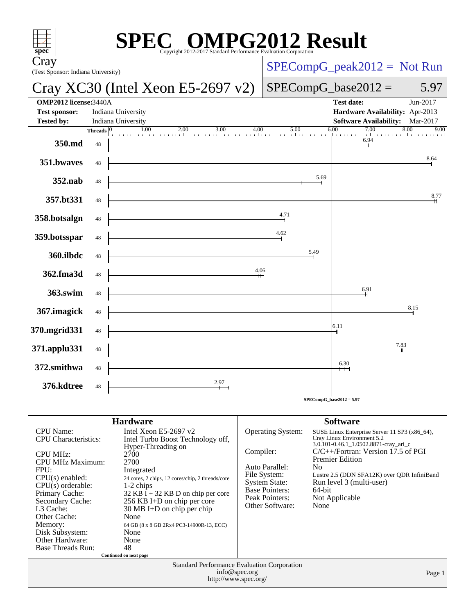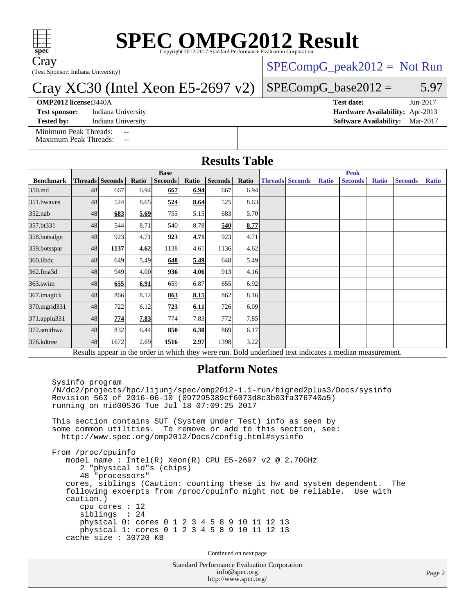

# **[SPEC OMPG2012 Result](http://www.spec.org/auto/omp2012/Docs/result-fields.html#SPECOMPG2012Result)**

Cray

(Test Sponsor: Indiana University)

## Cray XC30 (Intel Xeon E5-2697 v2)

#### **[OMP2012 license:](http://www.spec.org/auto/omp2012/Docs/result-fields.html#OMP2012license)**3440A **[Test date:](http://www.spec.org/auto/omp2012/Docs/result-fields.html#Testdate)** Jun-2017

[Minimum Peak Threads:](http://www.spec.org/auto/omp2012/Docs/result-fields.html#MinimumPeakThreads) [Maximum Peak Threads:](http://www.spec.org/auto/omp2012/Docs/result-fields.html#MaximumPeakThreads)

**[Test sponsor:](http://www.spec.org/auto/omp2012/Docs/result-fields.html#Testsponsor)** Indiana University **[Hardware Availability:](http://www.spec.org/auto/omp2012/Docs/result-fields.html#HardwareAvailability)** Apr-2013

[SPECompG\\_peak2012 =](http://www.spec.org/auto/omp2012/Docs/result-fields.html#SPECompGpeak2012) Not Run

### $SPECompG_base2012 = 5.97$  $SPECompG_base2012 = 5.97$

**[Tested by:](http://www.spec.org/auto/omp2012/Docs/result-fields.html#Testedby)** Indiana University **[Software Availability:](http://www.spec.org/auto/omp2012/Docs/result-fields.html#SoftwareAvailability)** Mar-2017

**[Results Table](http://www.spec.org/auto/omp2012/Docs/result-fields.html#ResultsTable)**

|                  | <b>Base</b>                              |                 |       |                |       |                |       | <b>Peak</b> |                        |              |                                                                                                          |              |                |              |
|------------------|------------------------------------------|-----------------|-------|----------------|-------|----------------|-------|-------------|------------------------|--------------|----------------------------------------------------------------------------------------------------------|--------------|----------------|--------------|
| <b>Benchmark</b> |                                          | Threads Seconds | Ratio | <b>Seconds</b> | Ratio | <b>Seconds</b> | Ratio |             | <b>Threads Seconds</b> | <b>Ratio</b> | <b>Seconds</b>                                                                                           | <b>Ratio</b> | <b>Seconds</b> | <b>Ratio</b> |
| 350.md           | 48                                       | 667             | 6.94  | 667            | 6.94  | 667            | 6.94  |             |                        |              |                                                                                                          |              |                |              |
| 351.bwaves       | 48                                       | 524             | 8.65  | 524            | 8.64  | 525            | 8.63  |             |                        |              |                                                                                                          |              |                |              |
| $352$ .nab       | 48                                       | 683             | 5.69  | 755            | 5.15  | 683            | 5.70  |             |                        |              |                                                                                                          |              |                |              |
| 357.bt331        | 48                                       | 544             | 8.71  | 540            | 8.78  | 540            | 8.77  |             |                        |              |                                                                                                          |              |                |              |
| 358.botsalgn     | 48                                       | 923             | 4.71  | 923            | 4.71  | 923            | 4.71  |             |                        |              |                                                                                                          |              |                |              |
| 359.botsspar     | 48                                       | 1137            | 4.62  | 1138           | 4.61  | 1136           | 4.62  |             |                        |              |                                                                                                          |              |                |              |
| $360$ .ilbdc     | 48                                       | 649             | 5.49  | 648            | 5.49  | 648            | 5.49  |             |                        |              |                                                                                                          |              |                |              |
| 362.fma3d        | 48                                       | 949             | 4.00  | 936            | 4.06  | 913            | 4.16  |             |                        |              |                                                                                                          |              |                |              |
| $363$ .swim      | 48                                       | 655             | 6.91  | 659            | 6.87  | 655            | 6.92  |             |                        |              |                                                                                                          |              |                |              |
| 367.imagick      | 48                                       | 866             | 8.12  | 863            | 8.15  | 862            | 8.16  |             |                        |              |                                                                                                          |              |                |              |
| 370.mgrid331     | 48                                       | 722             | 6.12  | 223            | 6.11  | 726            | 6.09  |             |                        |              |                                                                                                          |              |                |              |
| 371.applu331     | 48                                       | 774             | 7.83  | 774            | 7.83  | 772            | 7.85  |             |                        |              |                                                                                                          |              |                |              |
| 372.smithwa      | 48                                       | 832             | 6.44  | 850            | 6.30  | 869            | 6.17  |             |                        |              |                                                                                                          |              |                |              |
| 376.kdtree       | 48                                       | 1672            | 2.69  | 1516           | 2.97  | 1398           | 3.22  |             |                        |              |                                                                                                          |              |                |              |
|                  |                                          |                 |       |                |       |                |       |             |                        |              | Results appear in the order in which they were run. Bold underlined text indicates a median measurement. |              |                |              |
|                  | <b>Platform Notes</b><br>Sysinfo program |                 |       |                |       |                |       |             |                        |              |                                                                                                          |              |                |              |

 /N/dc2/projects/hpc/lijunj/spec/omp2012-1.1-run/bigred2plus3/Docs/sysinfo Revision 563 of 2016-06-10 (097295389cf6073d8c3b03fa376740a5) running on nid00536 Tue Jul 18 07:09:25 2017

 This section contains SUT (System Under Test) info as seen by some common utilities. To remove or add to this section, see: <http://www.spec.org/omp2012/Docs/config.html#sysinfo>

 From /proc/cpuinfo model name : Intel(R) Xeon(R) CPU E5-2697 v2 @ 2.70GHz 2 "physical id"s (chips) 48 "processors" cores, siblings (Caution: counting these is hw and system dependent. The following excerpts from /proc/cpuinfo might not be reliable. Use with caution.) cpu cores : 12 siblings : 24 physical 0: cores 0 1 2 3 4 5 8 9 10 11 12 13 physical 1: cores 0 1 2 3 4 5 8 9 10 11 12 13 cache size : 30720 KB

Continued on next page

Standard Performance Evaluation Corporation [info@spec.org](mailto:info@spec.org) <http://www.spec.org/>

Page 2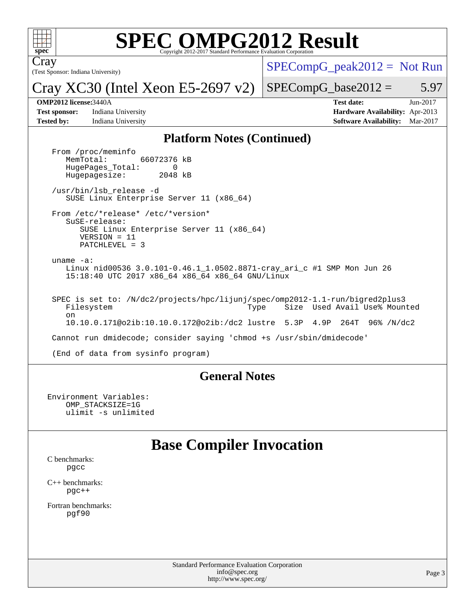

# **[SPEC OMPG2012 Result](http://www.spec.org/auto/omp2012/Docs/result-fields.html#SPECOMPG2012Result)**

(Test Sponsor: Indiana University) Cray

 $SPECompG_peak2012 = Not Run$  $SPECompG_peak2012 = Not Run$ 

Cray XC30 (Intel Xeon E5-2697 v2)

 $SPECompG_base2012 = 5.97$  $SPECompG_base2012 = 5.97$ 

**[Test sponsor:](http://www.spec.org/auto/omp2012/Docs/result-fields.html#Testsponsor)** Indiana University **[Hardware Availability:](http://www.spec.org/auto/omp2012/Docs/result-fields.html#HardwareAvailability)** Apr-2013 **[Tested by:](http://www.spec.org/auto/omp2012/Docs/result-fields.html#Testedby)** Indiana University **[Software Availability:](http://www.spec.org/auto/omp2012/Docs/result-fields.html#SoftwareAvailability)** Mar-2017

**[OMP2012 license:](http://www.spec.org/auto/omp2012/Docs/result-fields.html#OMP2012license)**3440A **[Test date:](http://www.spec.org/auto/omp2012/Docs/result-fields.html#Testdate)** Jun-2017

#### **[Platform Notes \(Continued\)](http://www.spec.org/auto/omp2012/Docs/result-fields.html#PlatformNotes)**

From /proc/meminfo<br>MemTotal: 66072376 kB HugePages\_Total: 0<br>Hugepagesize: 2048 kB Hugepagesize: /usr/bin/lsb\_release -d SUSE Linux Enterprise Server 11 (x86\_64) From /etc/\*release\* /etc/\*version\* SuSE-release: SUSE Linux Enterprise Server 11 (x86\_64) VERSION = 11 PATCHLEVEL = 3 uname -a: Linux nid00536 3.0.101-0.46.1\_1.0502.8871-cray\_ari\_c #1 SMP Mon Jun 26 15:18:40 UTC 2017 x86\_64 x86\_64 x86\_64 GNU/Linux SPEC is set to: /N/dc2/projects/hpc/lijunj/spec/omp2012-1.1-run/bigred2plus3 Filesystem Type Size Used Avail Use% Mounted on 10.10.0.171@o2ib:10.10.0.172@o2ib:/dc2 lustre 5.3P 4.9P 264T 96% /N/dc2 Cannot run dmidecode; consider saying 'chmod +s /usr/sbin/dmidecode' (End of data from sysinfo program)

#### **[General Notes](http://www.spec.org/auto/omp2012/Docs/result-fields.html#GeneralNotes)**

Environment Variables: OMP\_STACKSIZE=1G ulimit -s unlimited

## **[Base Compiler Invocation](http://www.spec.org/auto/omp2012/Docs/result-fields.html#BaseCompilerInvocation)**

[C benchmarks](http://www.spec.org/auto/omp2012/Docs/result-fields.html#Cbenchmarks): [pgcc](http://www.spec.org/omp2012/results/res2017q3/omp2012-20170731-00116.flags.html#user_CCbase_pgcc_l)

[C++ benchmarks:](http://www.spec.org/auto/omp2012/Docs/result-fields.html#CXXbenchmarks) [pgc++](http://www.spec.org/omp2012/results/res2017q3/omp2012-20170731-00116.flags.html#user_CXXbase_pgcpp_l_e5fc4a0ead554906661557a60ef932e8)

[Fortran benchmarks](http://www.spec.org/auto/omp2012/Docs/result-fields.html#Fortranbenchmarks): [pgf90](http://www.spec.org/omp2012/results/res2017q3/omp2012-20170731-00116.flags.html#user_FCbase_pgf90_l)

> Standard Performance Evaluation Corporation [info@spec.org](mailto:info@spec.org) <http://www.spec.org/>